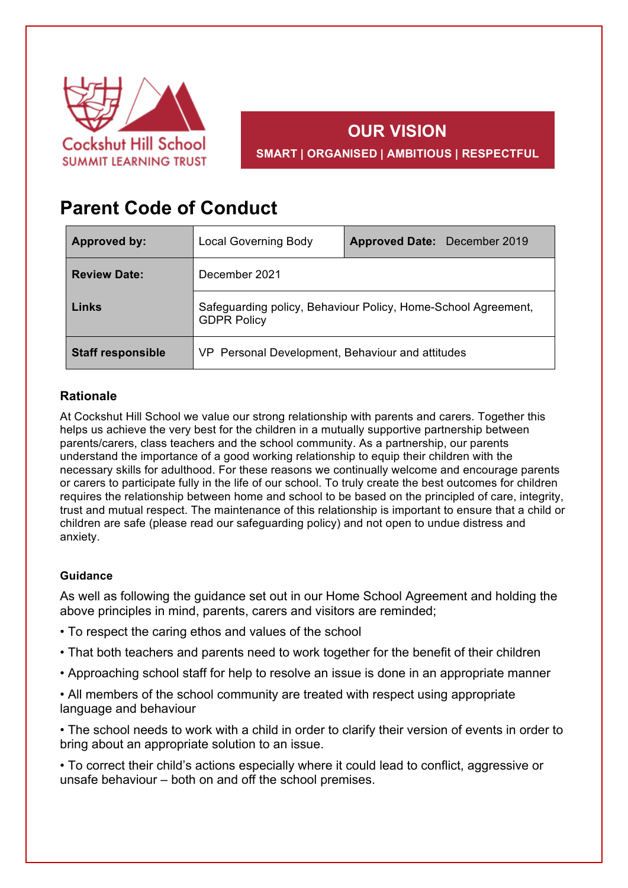

## **OUR VISION SMART | ORGANISED | AMBITIOUS | RESPECTFUL**

# **Parent Code of Conduct**

| <b>Approved by:</b>      | <b>Local Governing Body</b>                                                         | Approved Date: December 2019 |
|--------------------------|-------------------------------------------------------------------------------------|------------------------------|
| <b>Review Date:</b>      | December 2021                                                                       |                              |
| Links                    | Safeguarding policy, Behaviour Policy, Home-School Agreement,<br><b>GDPR Policy</b> |                              |
| <b>Staff responsible</b> | VP Personal Development, Behaviour and attitudes                                    |                              |

### **Rationale**

At Cockshut Hill School we value our strong relationship with parents and carers. Together this helps us achieve the very best for the children in a mutually supportive partnership between parents/carers, class teachers and the school community. As a partnership, our parents understand the importance of a good working relationship to equip their children with the necessary skills for adulthood. For these reasons we continually welcome and encourage parents or carers to participate fully in the life of our school. To truly create the best outcomes for children requires the relationship between home and school to be based on the principled of care, integrity, trust and mutual respect. The maintenance of this relationship is important to ensure that a child or children are safe (please read our safeguarding policy) and not open to undue distress and anxiety.

#### **Guidance**

As well as following the guidance set out in our Home School Agreement and holding the above principles in mind, parents, carers and visitors are reminded;

- To respect the caring ethos and values of the school
- That both teachers and parents need to work together for the benefit of their children
- Approaching school staff for help to resolve an issue is done in an appropriate manner

• All members of the school community are treated with respect using appropriate language and behaviour

• The school needs to work with a child in order to clarify their version of events in order to bring about an appropriate solution to an issue.

• To correct their child's actions especially where it could lead to conflict, aggressive or unsafe behaviour – both on and off the school premises.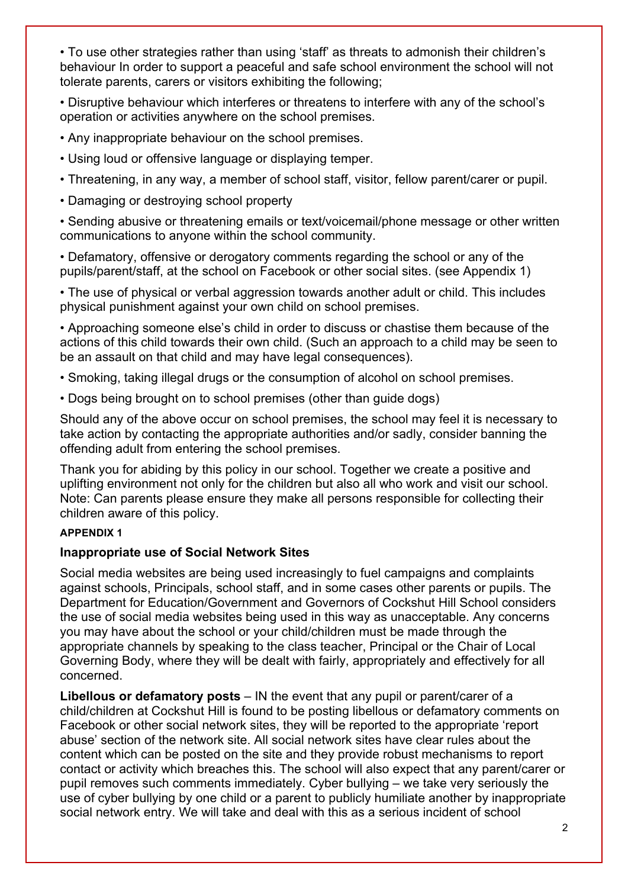• To use other strategies rather than using 'staff' as threats to admonish their children's behaviour In order to support a peaceful and safe school environment the school will not tolerate parents, carers or visitors exhibiting the following;

• Disruptive behaviour which interferes or threatens to interfere with any of the school's operation or activities anywhere on the school premises.

- Any inappropriate behaviour on the school premises.
- Using loud or offensive language or displaying temper.
- Threatening, in any way, a member of school staff, visitor, fellow parent/carer or pupil.
- Damaging or destroying school property

• Sending abusive or threatening emails or text/voicemail/phone message or other written communications to anyone within the school community.

• Defamatory, offensive or derogatory comments regarding the school or any of the pupils/parent/staff, at the school on Facebook or other social sites. (see Appendix 1)

• The use of physical or verbal aggression towards another adult or child. This includes physical punishment against your own child on school premises.

• Approaching someone else's child in order to discuss or chastise them because of the actions of this child towards their own child. (Such an approach to a child may be seen to be an assault on that child and may have legal consequences).

• Smoking, taking illegal drugs or the consumption of alcohol on school premises.

• Dogs being brought on to school premises (other than guide dogs)

Should any of the above occur on school premises, the school may feel it is necessary to take action by contacting the appropriate authorities and/or sadly, consider banning the offending adult from entering the school premises.

Thank you for abiding by this policy in our school. Together we create a positive and uplifting environment not only for the children but also all who work and visit our school. Note: Can parents please ensure they make all persons responsible for collecting their children aware of this policy.

#### **APPENDIX 1**

#### **Inappropriate use of Social Network Sites**

Social media websites are being used increasingly to fuel campaigns and complaints against schools, Principals, school staff, and in some cases other parents or pupils. The Department for Education/Government and Governors of Cockshut Hill School considers the use of social media websites being used in this way as unacceptable. Any concerns you may have about the school or your child/children must be made through the appropriate channels by speaking to the class teacher, Principal or the Chair of Local Governing Body, where they will be dealt with fairly, appropriately and effectively for all concerned.

**Libellous or defamatory posts** – IN the event that any pupil or parent/carer of a child/children at Cockshut Hill is found to be posting libellous or defamatory comments on Facebook or other social network sites, they will be reported to the appropriate 'report abuse' section of the network site. All social network sites have clear rules about the content which can be posted on the site and they provide robust mechanisms to report contact or activity which breaches this. The school will also expect that any parent/carer or pupil removes such comments immediately. Cyber bullying – we take very seriously the use of cyber bullying by one child or a parent to publicly humiliate another by inappropriate social network entry. We will take and deal with this as a serious incident of school